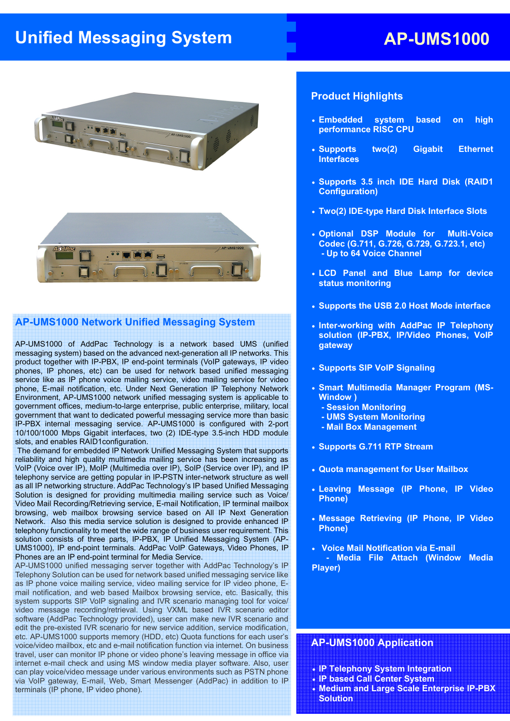# **Unified Messaging System AP-UMS1000**



#### **AP-UMS1000 Network Unified Messaging System**

AP-UMS1000 of AddPac Technology is a network based UMS (unified messaging system) based on the advanced next-generation all IP networks. This product together with IP-PBX, IP end-point terminals (VoIP gateways, IP video phones, IP phones, etc) can be used for network based unified messaging service like as IP phone voice mailing service, video mailing service for video phone, E-mail notification, etc. Under Next Generation IP Telephony Network Environment, AP-UMS1000 network unified messaging system is applicable to government offices, medium-to-large enterprise, public enterprise, military, local government that want to dedicated powerful messaging service more than basic IP-PBX internal messaging service. AP-UMS1000 is configured with 2-port 10/100/1000 Mbps Gigabit interfaces, two (2) IDE-type 3.5-inch HDD module slots, and enables RAID1configuration.

 The demand for embedded IP Network Unified Messaging System that supports reliability and high quality multimedia mailing service has been increasing as VoIP (Voice over IP), MoIP (Multimedia over IP), SoIP (Service over IP), and IP telephony service are getting popular in IP-PSTN inter-network structure as well as all IP networking structure. AddPac Technology's IP based Unified Messaging Solution is designed for providing multimedia mailing service such as Voice/ Video Mail Recording/Retrieving service, E-mail Notification, IP terminal mailbox browsing, web mailbox browsing service based on All IP Next Generation Network. Also this media service solution is designed to provide enhanced IP telephony functionality to meet the wide range of business user requirement. This solution consists of three parts, IP-PBX, IP Unified Messaging System (AP-UMS1000), IP end-point terminals. AddPac VoIP Gateways, Video Phones, IP Phones are an IP end-point terminal for Media Service.

AP-UMS1000 unified messaging server together with AddPac Technology's IP Telephony Solution can be used for network based unified messaging service like as IP phone voice mailing service, video mailing service for IP video phone, Email notification, and web based Mailbox browsing service, etc. Basically, this system supports SIP VoIP signaling and IVR scenario managing tool for voice/ video message recording/retrieval. Using VXML based IVR scenario editor software (AddPac Technology provided), user can make new IVR scenario and edit the pre-existed IVR scenario for new service addition, service modification, etc. AP-UMS1000 supports memory (HDD, etc) Quota functions for each user's voice/video mailbox, etc and e-mail notification function via internet. On business travel, user can monitor IP phone or video phone's leaving message in office via internet e-mail check and using MS window media player software. Also, user can play voice/video message under various environments such as PSTN phone via VoIP gateway, E-mail, Web, Smart Messenger (AddPac) in addition to IP terminals (IP phone, IP video phone).

#### **Product Highlights**

- **Embedded system based on high performance RISC CPU**
- **Supports two(2) Gigabit Ethernet Interfaces**
- **Supports 3.5 inch IDE Hard Disk (RAID1 Configuration)**
- **Two(2) IDE-type Hard Disk Interface Slots**
- **Optional DSP Module for Multi-Voice Codec (G.711, G.726, G.729, G.723.1, etc) - Up to 64 Voice Channel**
- **LCD Panel and Blue Lamp for device status monitoring**
- **Supports the USB 2.0 Host Mode interface**
- **Inter-working with AddPac IP Telephony solution (IP-PBX, IP/Video Phones, VoIP gateway**
- **Supports SIP VoIP Signaling**
- **Smart Multimedia Manager Program (MS-Window )** 
	- **Session Monitoring**
	- **UMS System Monitoring**
	- **Mail Box Management**
- **Supports G.711 RTP Stream**
- **Quota management for User Mailbox**
- **Leaving Message (IP Phone, IP Video Phone)**
- **Message Retrieving (IP Phone, IP Video Phone)**
- **Voice Mail Notification via E-mail**

 **- Media File Attach (Window Media Player)** 

## **AP-UMS1000 Application**

I

- **IP Telephony System Integration**
- **IP based Call Center System**
- **Medium and Large Scale Enterprise IP-PBX Solution**